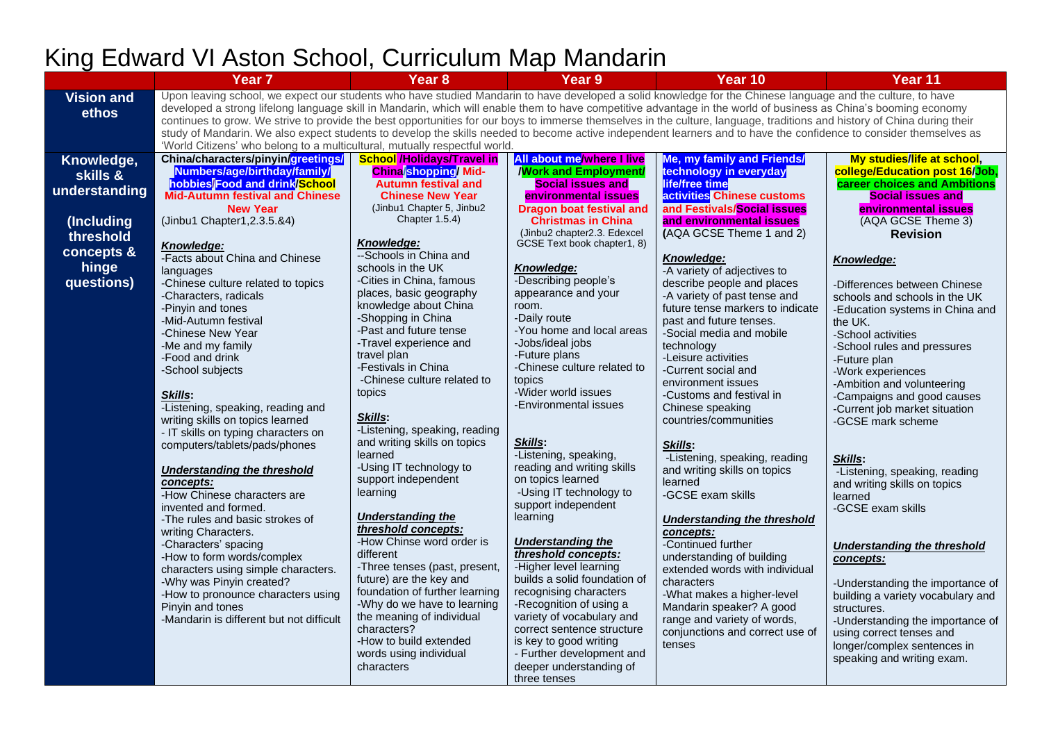|                                                                    | Year <sub>7</sub>                                                                                                                                                                                                                                                                                                                                                                                                                                                                                                                                                                                                                                                                                                                                               | Year <sub>8</sub>                                                                                                                                                                                                                                                                                                                                                                                                                                                              | <b>Year 9</b>                                                                                                                                                                                                                                                                                                                                                                                                                                                                    | Year 10                                                                                                                                                                                                                                                                                                                                                                                       | Year 11                                                                                                                                                                                                                                                                                                                                                                          |  |
|--------------------------------------------------------------------|-----------------------------------------------------------------------------------------------------------------------------------------------------------------------------------------------------------------------------------------------------------------------------------------------------------------------------------------------------------------------------------------------------------------------------------------------------------------------------------------------------------------------------------------------------------------------------------------------------------------------------------------------------------------------------------------------------------------------------------------------------------------|--------------------------------------------------------------------------------------------------------------------------------------------------------------------------------------------------------------------------------------------------------------------------------------------------------------------------------------------------------------------------------------------------------------------------------------------------------------------------------|----------------------------------------------------------------------------------------------------------------------------------------------------------------------------------------------------------------------------------------------------------------------------------------------------------------------------------------------------------------------------------------------------------------------------------------------------------------------------------|-----------------------------------------------------------------------------------------------------------------------------------------------------------------------------------------------------------------------------------------------------------------------------------------------------------------------------------------------------------------------------------------------|----------------------------------------------------------------------------------------------------------------------------------------------------------------------------------------------------------------------------------------------------------------------------------------------------------------------------------------------------------------------------------|--|
| <b>Vision and</b><br>ethos                                         | Upon leaving school, we expect our students who have studied Mandarin to have developed a solid knowledge for the Chinese language and the culture, to have<br>developed a strong lifelong language skill in Mandarin, which will enable them to have competitive advantage in the world of business as China's booming economy<br>continues to grow. We strive to provide the best opportunities for our boys to immerse themselves in the culture, language, traditions and history of China during their<br>study of Mandarin. We also expect students to develop the skills needed to become active independent learners and to have the confidence to consider themselves as<br>'World Citizens' who belong to a multicultural, mutually respectful world. |                                                                                                                                                                                                                                                                                                                                                                                                                                                                                |                                                                                                                                                                                                                                                                                                                                                                                                                                                                                  |                                                                                                                                                                                                                                                                                                                                                                                               |                                                                                                                                                                                                                                                                                                                                                                                  |  |
| Knowledge,<br>skills &<br>understanding<br>(Including<br>threshold | China/characters/pinyin/greetings/<br>Numbers/age/birthday/family/<br>hobbies/Food and drink/School<br><b>Mid-Autumn festival and Chinese</b><br><b>New Year</b><br>(Jinbu1 Chapter1, 2.3.5.&4)                                                                                                                                                                                                                                                                                                                                                                                                                                                                                                                                                                 | <b>School /Holidays/Travel in</b><br><b>China</b> shopping Mid-<br><b>Autumn festival and</b><br><b>Chinese New Year</b><br>(Jinbu1 Chapter 5, Jinbu2<br>Chapter 1.5.4)<br><b>Knowledge:</b>                                                                                                                                                                                                                                                                                   | <b>All about me/where I live</b><br><b>Work and Employment/</b><br><b>Social issues and</b><br>environmental issues<br><b>Dragon boat festival and</b><br><b>Christmas in China</b><br>(Jinbu2 chapter2.3. Edexcel<br>GCSE Text book chapter1, 8)                                                                                                                                                                                                                                | <b>Me, my family and Friends/</b><br>technology in everyday<br>life/free time<br>activities Chinese customs<br>and Festivals/Social issues<br>and environmental issues<br>(AQA GCSE Theme 1 and 2)                                                                                                                                                                                            | My studies/life at school,<br>college/Education post 16/Job,<br>career choices and Ambitions<br><b>Social issues and</b><br>environmental issues<br>(AQA GCSE Theme 3)<br><b>Revision</b>                                                                                                                                                                                        |  |
| concepts &<br>hinge<br>questions)                                  | Knowledge:<br>-Facts about China and Chinese<br>languages<br>-Chinese culture related to topics<br>-Characters, radicals<br>-Pinyin and tones<br>-Mid-Autumn festival<br>-Chinese New Year<br>-Me and my family<br>-Food and drink<br>-School subjects<br>Skills:<br>-Listening, speaking, reading and<br>writing skills on topics learned                                                                                                                                                                                                                                                                                                                                                                                                                      | --Schools in China and<br>schools in the UK<br>-Cities in China, famous<br>places, basic geography<br>knowledge about China<br>-Shopping in China<br>-Past and future tense<br>-Travel experience and<br>travel plan<br>-Festivals in China<br>-Chinese culture related to<br>topics<br>Skills:                                                                                                                                                                                | Knowledge:<br>-Describing people's<br>appearance and your<br>room.<br>-Daily route<br>-You home and local areas<br>-Jobs/ideal jobs<br>-Future plans<br>-Chinese culture related to<br>topics<br>-Wider world issues<br>-Environmental issues                                                                                                                                                                                                                                    | Knowledge:<br>-A variety of adjectives to<br>describe people and places<br>-A variety of past tense and<br>future tense markers to indicate<br>past and future tenses.<br>-Social media and mobile<br>technology<br>-Leisure activities<br>-Current social and<br>environment issues<br>-Customs and festival in<br>Chinese speaking<br>countries/communities                                 | Knowledge:<br>-Differences between Chinese<br>schools and schools in the UK<br>-Education systems in China and<br>the UK.<br>-School activities<br>-School rules and pressures<br>-Future plan<br>-Work experiences<br>-Ambition and volunteering<br>-Campaigns and good causes<br>-Current job market situation<br>-GCSE mark scheme                                            |  |
|                                                                    | - IT skills on typing characters on<br>computers/tablets/pads/phones<br><b>Understanding the threshold</b><br>concepts:<br>-How Chinese characters are<br>invented and formed.<br>-The rules and basic strokes of<br>writing Characters.<br>-Characters' spacing<br>-How to form words/complex<br>characters using simple characters.<br>-Why was Pinyin created?<br>-How to pronounce characters using<br>Pinyin and tones<br>-Mandarin is different but not difficult                                                                                                                                                                                                                                                                                         | -Listening, speaking, reading<br>and writing skills on topics<br>learned<br>-Using IT technology to<br>support independent<br>learning<br><b>Understanding the</b><br>threshold concepts:<br>-How Chinse word order is<br>different<br>-Three tenses (past, present,<br>future) are the key and<br>foundation of further learning<br>-Why do we have to learning<br>the meaning of individual<br>characters?<br>-How to build extended<br>words using individual<br>characters | Skills:<br>-Listening, speaking,<br>reading and writing skills<br>on topics learned<br>-Using IT technology to<br>support independent<br>learning<br><b>Understanding the</b><br>threshold concepts:<br>-Higher level learning<br>builds a solid foundation of<br>recognising characters<br>-Recognition of using a<br>variety of vocabulary and<br>correct sentence structure<br>is key to good writing<br>- Further development and<br>deeper understanding of<br>three tenses | Skills:<br>-Listening, speaking, reading<br>and writing skills on topics<br>learned<br>-GCSE exam skills<br>Understanding the threshold<br>concepts:<br>-Continued further<br>understanding of building<br>extended words with individual<br>characters<br>-What makes a higher-level<br>Mandarin speaker? A good<br>range and variety of words,<br>conjunctions and correct use of<br>tenses | Skills:<br>-Listening, speaking, reading<br>and writing skills on topics<br>learned<br>-GCSE exam skills<br><b>Understanding the threshold</b><br>concepts:<br>-Understanding the importance of<br>building a variety vocabulary and<br>structures.<br>-Understanding the importance of<br>using correct tenses and<br>longer/complex sentences in<br>speaking and writing exam. |  |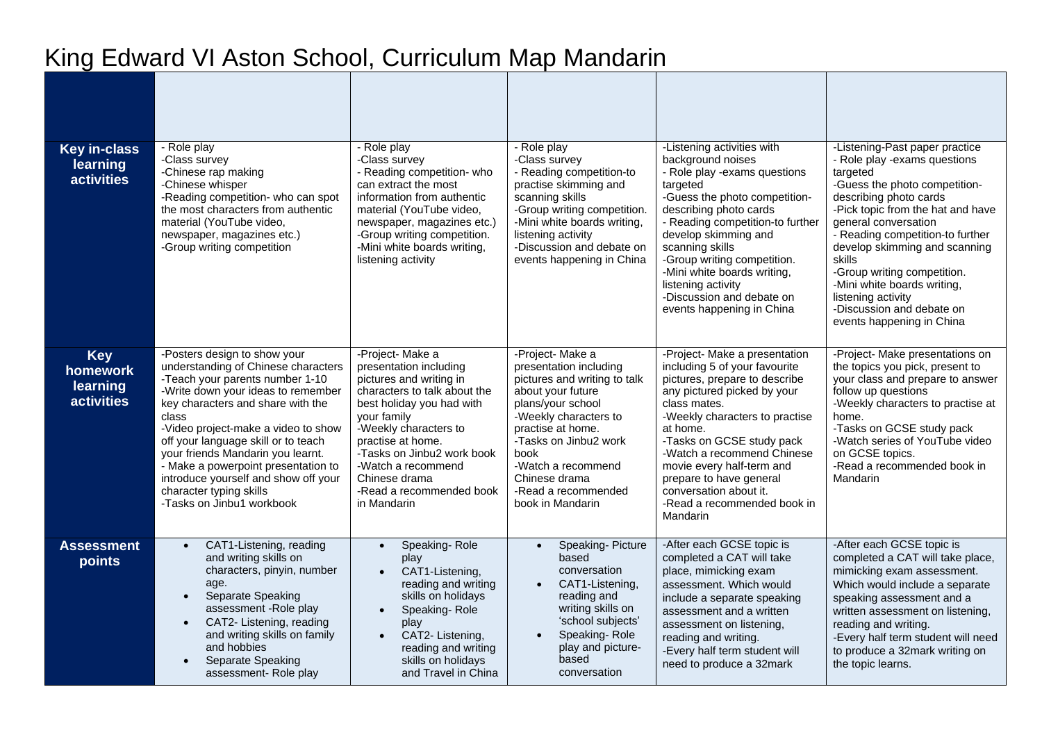| <b>Key in-class</b><br>learning<br><b>activities</b>    | - Role play<br>-Class survey<br>-Chinese rap making<br>-Chinese whisper<br>-Reading competition- who can spot<br>the most characters from authentic<br>material (YouTube video,<br>newspaper, magazines etc.)<br>-Group writing competition                                                                                                                                                                                                          | - Role play<br>-Class survey<br>- Reading competition- who<br>can extract the most<br>information from authentic<br>material (YouTube video,<br>newspaper, magazines etc.)<br>-Group writing competition.<br>-Mini white boards writing,<br>listening activity                                                                                                                                                                                                                                                                                                                                           | - Role play<br>-Class survey<br>- Reading competition-to<br>practise skimming and<br>scanning skills<br>-Group writing competition.<br>-Mini white boards writing,<br>listening activity<br>-Discussion and debate on<br>events happening in China | -Listening activities with<br>background noises<br>- Role play -exams questions<br>targeted<br>-Guess the photo competition-<br>describing photo cards<br>- Reading competition-to further<br>develop skimming and<br>scanning skills<br>-Group writing competition.<br>-Mini white boards writing,<br>listening activity<br>-Discussion and debate on<br>events happening in China         | -Listening-Past paper practice<br>- Role play -exams questions<br>targeted<br>-Guess the photo competition-<br>describing photo cards<br>-Pick topic from the hat and have<br>general conversation<br>- Reading competition-to further<br>develop skimming and scanning<br><b>skills</b><br>-Group writing competition.<br>-Mini white boards writing,<br>listening activity<br>-Discussion and debate on<br>events happening in China |
|---------------------------------------------------------|------------------------------------------------------------------------------------------------------------------------------------------------------------------------------------------------------------------------------------------------------------------------------------------------------------------------------------------------------------------------------------------------------------------------------------------------------|----------------------------------------------------------------------------------------------------------------------------------------------------------------------------------------------------------------------------------------------------------------------------------------------------------------------------------------------------------------------------------------------------------------------------------------------------------------------------------------------------------------------------------------------------------------------------------------------------------|----------------------------------------------------------------------------------------------------------------------------------------------------------------------------------------------------------------------------------------------------|---------------------------------------------------------------------------------------------------------------------------------------------------------------------------------------------------------------------------------------------------------------------------------------------------------------------------------------------------------------------------------------------|----------------------------------------------------------------------------------------------------------------------------------------------------------------------------------------------------------------------------------------------------------------------------------------------------------------------------------------------------------------------------------------------------------------------------------------|
| <b>Key</b><br>homework<br>learning<br><b>activities</b> | -Posters design to show your<br>understanding of Chinese characters<br>-Teach your parents number 1-10<br>-Write down your ideas to remember<br>key characters and share with the<br>class<br>-Video project-make a video to show<br>off your language skill or to teach<br>your friends Mandarin you learnt.<br>- Make a powerpoint presentation to<br>introduce yourself and show off your<br>character typing skills<br>-Tasks on Jinbu1 workbook | -Project- Make a<br>-Project- Make a<br>presentation including<br>presentation including<br>pictures and writing in<br>pictures and writing to talk<br>characters to talk about the<br>about your future<br>best holiday you had with<br>plans/your school<br>your family<br>-Weekly characters to<br>-Weekly characters to<br>practise at home.<br>practise at home.<br>-Tasks on Jinbu2 work<br>-Tasks on Jinbu2 work book<br>book<br>-Watch a recommend<br>-Watch a recommend<br>Chinese drama<br>Chinese drama<br>-Read a recommended book<br>-Read a recommended<br>in Mandarin<br>book in Mandarin |                                                                                                                                                                                                                                                    | -Project- Make a presentation<br>including 5 of your favourite<br>pictures, prepare to describe<br>any pictured picked by your<br>class mates.<br>-Weekly characters to practise<br>at home.<br>-Tasks on GCSE study pack<br>-Watch a recommend Chinese<br>movie every half-term and<br>prepare to have general<br>conversation about it.<br>-Read a recommended book in<br><b>Mandarin</b> | -Project- Make presentations on<br>the topics you pick, present to<br>your class and prepare to answer<br>follow up questions<br>-Weekly characters to practise at<br>home.<br>-Tasks on GCSE study pack<br>-Watch series of YouTube video<br>on GCSE topics.<br>-Read a recommended book in<br>Mandarin                                                                                                                               |
| <b>Assessment</b><br>points                             | CAT1-Listening, reading<br>$\bullet$<br>and writing skills on<br>characters, pinyin, number<br>age.<br>Separate Speaking<br>assessment - Role play<br>CAT2- Listening, reading<br>and writing skills on family<br>and hobbies<br>Separate Speaking<br>assessment-Role play                                                                                                                                                                           | Speaking-Role<br>$\bullet$<br>play<br>CAT1-Listening,<br>reading and writing<br>skills on holidays<br>Speaking-Role<br>$\bullet$<br>play<br>CAT2- Listening,<br>$\bullet$<br>reading and writing<br>skills on holidays<br>and Travel in China                                                                                                                                                                                                                                                                                                                                                            | Speaking-Picture<br>$\bullet$<br>based<br>conversation<br>CAT1-Listening,<br>$\bullet$<br>reading and<br>writing skills on<br>'school subjects'<br>Speaking-Role<br>play and picture-<br>based<br>conversation                                     | -After each GCSE topic is<br>completed a CAT will take<br>place, mimicking exam<br>assessment. Which would<br>include a separate speaking<br>assessment and a written<br>assessment on listening,<br>reading and writing.<br>-Every half term student will<br>need to produce a 32mark                                                                                                      | -After each GCSE topic is<br>completed a CAT will take place,<br>mimicking exam assessment.<br>Which would include a separate<br>speaking assessment and a<br>written assessment on listening,<br>reading and writing.<br>-Every half term student will need<br>to produce a 32mark writing on<br>the topic learns.                                                                                                                    |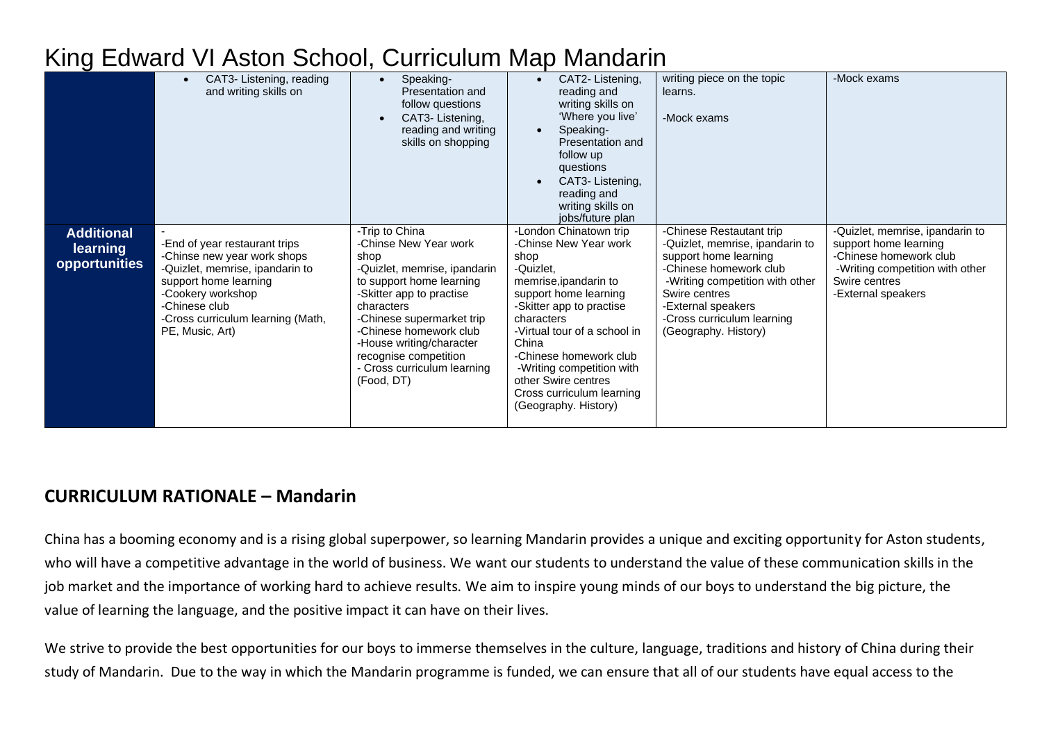| King Edward VI Aston School, Curriculum Map Mandarin |  |  |  |  |  |
|------------------------------------------------------|--|--|--|--|--|
|------------------------------------------------------|--|--|--|--|--|

|                                                | CAT3- Listening, reading<br>and writing skills on                                                                                                                                                                      | Speaking-<br>$\bullet$<br>Presentation and<br>follow questions<br>CAT3-Listening,<br>reading and writing<br>skills on shopping                                                                                                                                                                                 | CAT2-Listening,<br>reading and<br>writing skills on<br>'Where you live'<br>Speaking-<br>Presentation and<br>follow up<br>questions<br>CAT3- Listening,<br>$\bullet$<br>reading and<br>writing skills on<br>jobs/future plan                                                                                                                  | writing piece on the topic<br>learns.<br>-Mock exams                                                                                                                                                                                           | -Mock exams                                                                                                                                                  |
|------------------------------------------------|------------------------------------------------------------------------------------------------------------------------------------------------------------------------------------------------------------------------|----------------------------------------------------------------------------------------------------------------------------------------------------------------------------------------------------------------------------------------------------------------------------------------------------------------|----------------------------------------------------------------------------------------------------------------------------------------------------------------------------------------------------------------------------------------------------------------------------------------------------------------------------------------------|------------------------------------------------------------------------------------------------------------------------------------------------------------------------------------------------------------------------------------------------|--------------------------------------------------------------------------------------------------------------------------------------------------------------|
| <b>Additional</b><br>learning<br>opportunities | -End of year restaurant trips<br>-Chinse new year work shops<br>-Quizlet, memrise, ipandarin to<br>support home learning<br>-Cookery workshop<br>-Chinese club<br>-Cross curriculum learning (Math,<br>PE, Music, Art) | -Trip to China<br>-Chinse New Year work<br>shop<br>-Quizlet, memrise, ipandarin<br>to support home learning<br>-Skitter app to practise<br>characters<br>-Chinese supermarket trip<br>-Chinese homework club<br>-House writing/character<br>recognise competition<br>- Cross curriculum learning<br>(Food, DT) | -London Chinatown trip<br>-Chinse New Year work<br>shop<br>-Quizlet,<br>memrise, ipandarin to<br>support home learning<br>-Skitter app to practise<br>characters<br>-Virtual tour of a school in<br>China<br>-Chinese homework club<br>-Writing competition with<br>other Swire centres<br>Cross curriculum learning<br>(Geography. History) | -Chinese Restautant trip<br>-Quizlet, memrise, ipandarin to<br>support home learning<br>-Chinese homework club<br>-Writing competition with other<br>Swire centres<br>-External speakers<br>-Cross curriculum learning<br>(Geography. History) | -Quizlet, memrise, ipandarin to<br>support home learning<br>-Chinese homework club<br>-Writing competition with other<br>Swire centres<br>-External speakers |

#### **CURRICULUM RATIONALE – Mandarin**

China has a booming economy and is a rising global superpower, so learning Mandarin provides a unique and exciting opportunity for Aston students, who will have a competitive advantage in the world of business. We want our students to understand the value of these communication skills in the job market and the importance of working hard to achieve results. We aim to inspire young minds of our boys to understand the big picture, the value of learning the language, and the positive impact it can have on their lives.

We strive to provide the best opportunities for our boys to immerse themselves in the culture, language, traditions and history of China during their study of Mandarin. Due to the way in which the Mandarin programme is funded, we can ensure that all of our students have equal access to the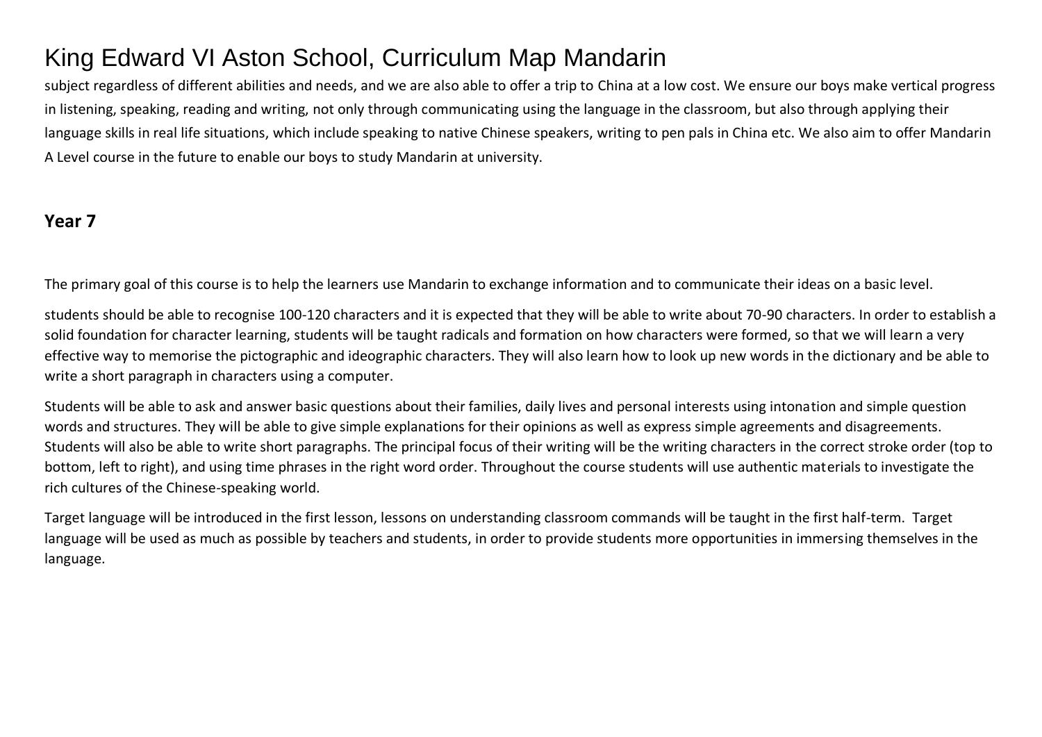subject regardless of different abilities and needs, and we are also able to offer a trip to China at a low cost. We ensure our boys make vertical progress in listening, speaking, reading and writing, not only through communicating using the language in the classroom, but also through applying their language skills in real life situations, which include speaking to native Chinese speakers, writing to pen pals in China etc. We also aim to offer Mandarin A Level course in the future to enable our boys to study Mandarin at university.

#### **Year 7**

The primary goal of this course is to help the learners use Mandarin to exchange information and to communicate their ideas on a basic level.

students should be able to recognise 100-120 characters and it is expected that they will be able to write about 70-90 characters. In order to establish a solid foundation for character learning, students will be taught radicals and formation on how characters were formed, so that we will learn a very effective way to memorise the pictographic and ideographic characters. They will also learn how to look up new words in the dictionary and be able to write a short paragraph in characters using a computer.

Students will be able to ask and answer basic questions about their families, daily lives and personal interests using intonation and simple question words and structures. They will be able to give simple explanations for their opinions as well as express simple agreements and disagreements. Students will also be able to write short paragraphs. The principal focus of their writing will be the writing characters in the correct stroke order (top to bottom, left to right), and using time phrases in the right word order. Throughout the course students will use authentic materials to investigate the rich cultures of the Chinese-speaking world.

Target language will be introduced in the first lesson, lessons on understanding classroom commands will be taught in the first half-term. Target language will be used as much as possible by teachers and students, in order to provide students more opportunities in immersing themselves in the language.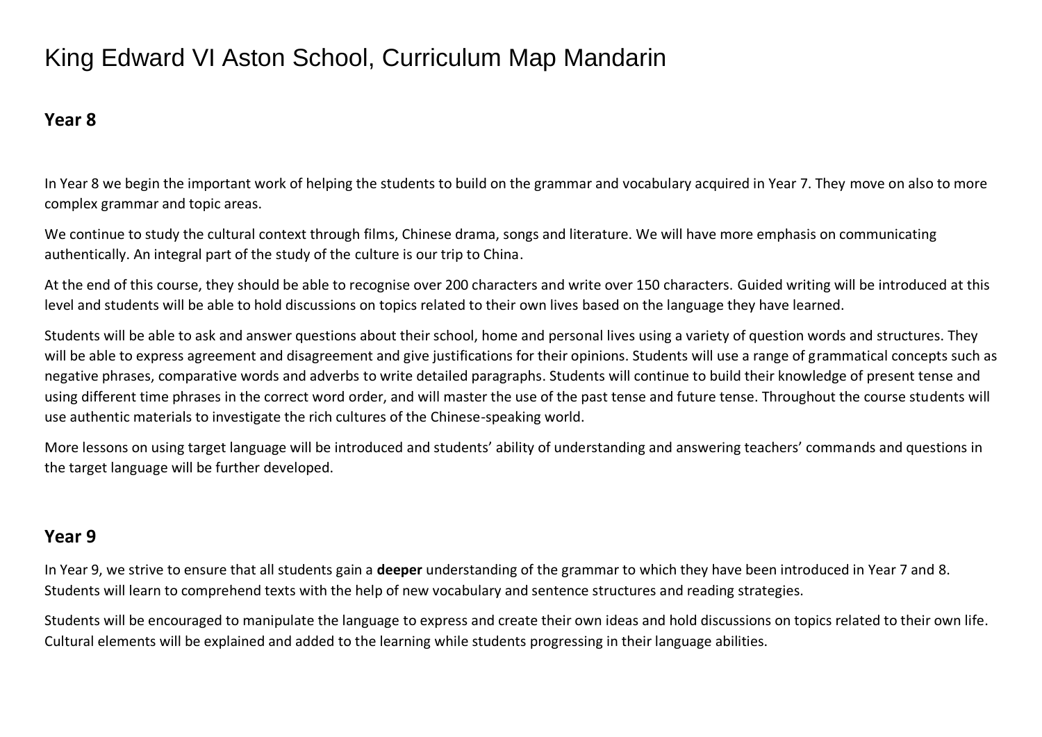#### **Year 8**

In Year 8 we begin the important work of helping the students to build on the grammar and vocabulary acquired in Year 7. They move on also to more complex grammar and topic areas.

We continue to study the cultural context through films, Chinese drama, songs and literature. We will have more emphasis on communicating authentically. An integral part of the study of the culture is our trip to China.

At the end of this course, they should be able to recognise over 200 characters and write over 150 characters. Guided writing will be introduced at this level and students will be able to hold discussions on topics related to their own lives based on the language they have learned.

Students will be able to ask and answer questions about their school, home and personal lives using a variety of question words and structures. They will be able to express agreement and disagreement and give justifications for their opinions. Students will use a range of grammatical concepts such as negative phrases, comparative words and adverbs to write detailed paragraphs. Students will continue to build their knowledge of present tense and using different time phrases in the correct word order, and will master the use of the past tense and future tense. Throughout the course students will use authentic materials to investigate the rich cultures of the Chinese-speaking world.

More lessons on using target language will be introduced and students' ability of understanding and answering teachers' commands and questions in the target language will be further developed.

#### **Year 9**

In Year 9, we strive to ensure that all students gain a **deeper** understanding of the grammar to which they have been introduced in Year 7 and 8. Students will learn to comprehend texts with the help of new vocabulary and sentence structures and reading strategies.

Students will be encouraged to manipulate the language to express and create their own ideas and hold discussions on topics related to their own life. Cultural elements will be explained and added to the learning while students progressing in their language abilities.